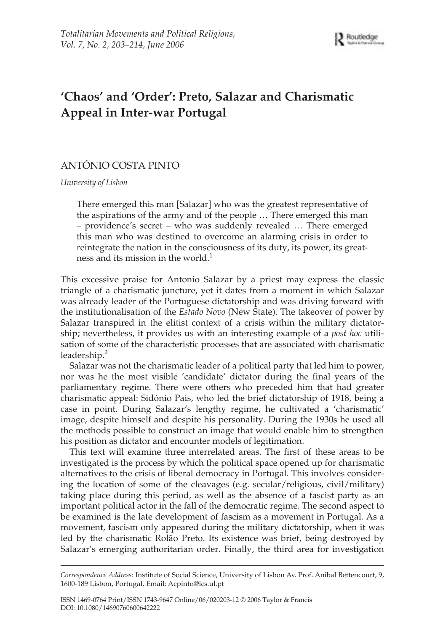

# **'Chaos' and 'Order': Preto, Salazar and Charismatic Appeal in Inter-war Portugal**

## ANTÓNIO COSTA PINTO

*University of Lisbon*

There emerged this man [Salazar] who was the greatest representative of the aspirations of the army and of the people … There emerged this man – providence's secret – who was suddenly revealed … There emerged this man who was destined to overcome an alarming crisis in order to reintegrate the nation in the consciousness of its duty, its power, its greatness and its mission in the world.<sup>1</sup>

This excessive praise for Antonio Salazar by a priest may express the classic triangle of a charismatic juncture, yet it dates from a moment in which Salazar was already leader of the Portuguese dictatorship and was driving forward with the institutionalisation of the *Estado Novo* (New State). The takeover of power by Salazar transpired in the elitist context of a crisis within the military dictatorship; nevertheless, it provides us with an interesting example of a *post hoc* utilisation of some of the characteristic processes that are associated with charismatic leadership.2

Salazar was not the charismatic leader of a political party that led him to power, nor was he the most visible 'candidate' dictator during the final years of the parliamentary regime. There were others who preceded him that had greater charismatic appeal: Sidónio Pais, who led the brief dictatorship of 1918, being a case in point. During Salazar's lengthy regime, he cultivated a 'charismatic' image, despite himself and despite his personality. During the 1930s he used all the methods possible to construct an image that would enable him to strengthen his position as dictator and encounter models of legitimation.

This text will examine three interrelated areas. The first of these areas to be investigated is the process by which the political space opened up for charismatic alternatives to the crisis of liberal democracy in Portugal. This involves considering the location of some of the cleavages (e.g. secular/religious, civil/military) taking place during this period, as well as the absence of a fascist party as an important political actor in the fall of the democratic regime. The second aspect to be examined is the late development of fascism as a movement in Portugal. As a movement, fascism only appeared during the military dictatorship, when it was led by the charismatic Rolão Preto. Its existence was brief, being destroyed by Salazar's emerging authoritarian order. Finally, the third area for investigation

*Correspondence Address*: Institute of Social Science, University of Lisbon Av. Prof. Anibal Bettencourt, 9, 1600-189 Lisbon, Portugal. Email: Acpinto@ics.ul.pt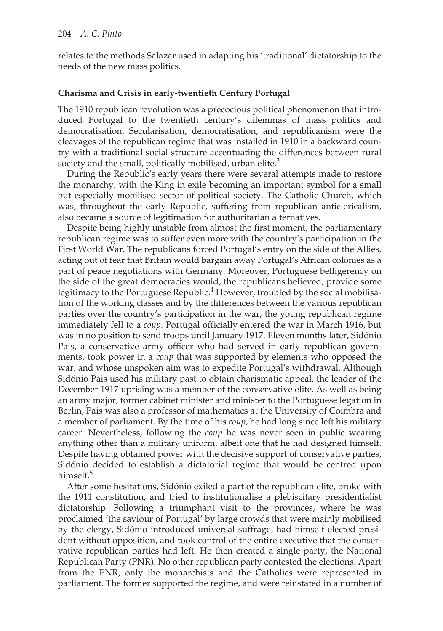relates to the methods Salazar used in adapting his 'traditional' dictatorship to the needs of the new mass politics.

#### **Charisma and Crisis in early-twentieth Century Portugal**

The 1910 republican revolution was a precocious political phenomenon that introduced Portugal to the twentieth century's dilemmas of mass politics and democratisation. Secularisation, democratisation, and republicanism were the cleavages of the republican regime that was installed in 1910 in a backward country with a traditional social structure accentuating the differences between rural society and the small, politically mobilised, urban elite.<sup>3</sup>

During the Republic's early years there were several attempts made to restore the monarchy, with the King in exile becoming an important symbol for a small but especially mobilised sector of political society. The Catholic Church, which was, throughout the early Republic, suffering from republican anticlericalism, also became a source of legitimation for authoritarian alternatives.

Despite being highly unstable from almost the first moment, the parliamentary republican regime was to suffer even more with the country's participation in the First World War. The republicans forced Portugal's entry on the side of the Allies, acting out of fear that Britain would bargain away Portugal's African colonies as a part of peace negotiations with Germany. Moreover, Portuguese belligerency on the side of the great democracies would, the republicans believed, provide some legitimacy to the Portuguese Republic.<sup>4</sup> However, troubled by the social mobilisation of the working classes and by the differences between the various republican parties over the country's participation in the war, the young republican regime immediately fell to a *coup*. Portugal officially entered the war in March 1916, but was in no position to send troops until January 1917. Eleven months later, Sidónio Pais, a conservative army officer who had served in early republican governments, took power in a *coup* that was supported by elements who opposed the war, and whose unspoken aim was to expedite Portugal's withdrawal. Although Sidónio Pais used his military past to obtain charismatic appeal, the leader of the December 1917 uprising was a member of the conservative elite. As well as being an army major, former cabinet minister and minister to the Portuguese legation in Berlin, Pais was also a professor of mathematics at the University of Coimbra and a member of parliament. By the time of his *coup*, he had long since left his military career. Nevertheless, following the *coup* he was never seen in public wearing anything other than a military uniform, albeit one that he had designed himself. Despite having obtained power with the decisive support of conservative parties, Sidónio decided to establish a dictatorial regime that would be centred upon himself.<sup>5</sup>

After some hesitations, Sidónio exiled a part of the republican elite, broke with the 1911 constitution, and tried to institutionalise a plebiscitary presidentialist dictatorship. Following a triumphant visit to the provinces, where he was proclaimed 'the saviour of Portugal' by large crowds that were mainly mobilised by the clergy, Sidónio introduced universal suffrage, had himself elected president without opposition, and took control of the entire executive that the conservative republican parties had left. He then created a single party, the National Republican Party (PNR). No other republican party contested the elections. Apart from the PNR, only the monarchists and the Catholics were represented in parliament. The former supported the regime, and were reinstated in a number of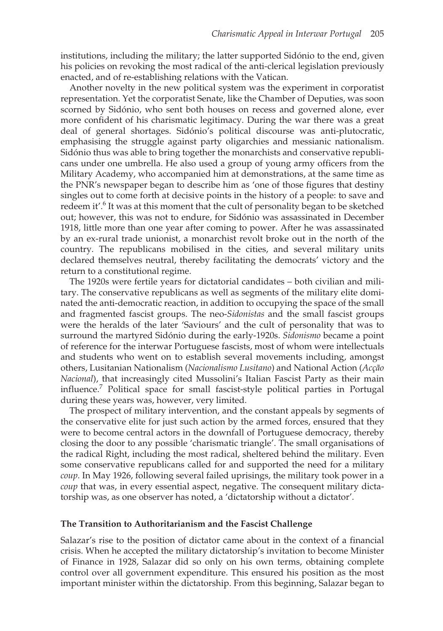institutions, including the military; the latter supported Sidónio to the end, given his policies on revoking the most radical of the anti-clerical legislation previously enacted, and of re-establishing relations with the Vatican.

Another novelty in the new political system was the experiment in corporatist representation. Yet the corporatist Senate, like the Chamber of Deputies, was soon scorned by Sidónio, who sent both houses on recess and governed alone, ever more confident of his charismatic legitimacy. During the war there was a great deal of general shortages. Sidónio's political discourse was anti-plutocratic, emphasising the struggle against party oligarchies and messianic nationalism. Sidónio thus was able to bring together the monarchists and conservative republicans under one umbrella. He also used a group of young army officers from the Military Academy, who accompanied him at demonstrations, at the same time as the PNR's newspaper began to describe him as 'one of those figures that destiny singles out to come forth at decisive points in the history of a people: to save and redeem it'.6 It was at this moment that the cult of personality began to be sketched out; however, this was not to endure, for Sidónio was assassinated in December 1918, little more than one year after coming to power. After he was assassinated by an ex-rural trade unionist, a monarchist revolt broke out in the north of the country. The republicans mobilised in the cities, and several military units declared themselves neutral, thereby facilitating the democrats' victory and the return to a constitutional regime.

The 1920s were fertile years for dictatorial candidates – both civilian and military. The conservative republicans as well as segments of the military elite dominated the anti-democratic reaction, in addition to occupying the space of the small and fragmented fascist groups. The neo-*Sidonistas* and the small fascist groups were the heralds of the later 'Saviours' and the cult of personality that was to surround the martyred Sidónio during the early-1920s. *Sidonismo* became a point of reference for the interwar Portuguese fascists, most of whom were intellectuals and students who went on to establish several movements including, amongst others, Lusitanian Nationalism (*Nacionalismo Lusitano*) and National Action (*Acção Nacional*), that increasingly cited Mussolini's Italian Fascist Party as their main influence.7 Political space for small fascist-style political parties in Portugal during these years was, however, very limited.

The prospect of military intervention, and the constant appeals by segments of the conservative elite for just such action by the armed forces, ensured that they were to become central actors in the downfall of Portuguese democracy, thereby closing the door to any possible 'charismatic triangle'. The small organisations of the radical Right, including the most radical, sheltered behind the military. Even some conservative republicans called for and supported the need for a military *coup*. In May 1926, following several failed uprisings, the military took power in a *coup* that was, in every essential aspect, negative. The consequent military dictatorship was, as one observer has noted, a 'dictatorship without a dictator'.

#### **The Transition to Authoritarianism and the Fascist Challenge**

Salazar's rise to the position of dictator came about in the context of a financial crisis. When he accepted the military dictatorship's invitation to become Minister of Finance in 1928, Salazar did so only on his own terms, obtaining complete control over all government expenditure. This ensured his position as the most important minister within the dictatorship. From this beginning, Salazar began to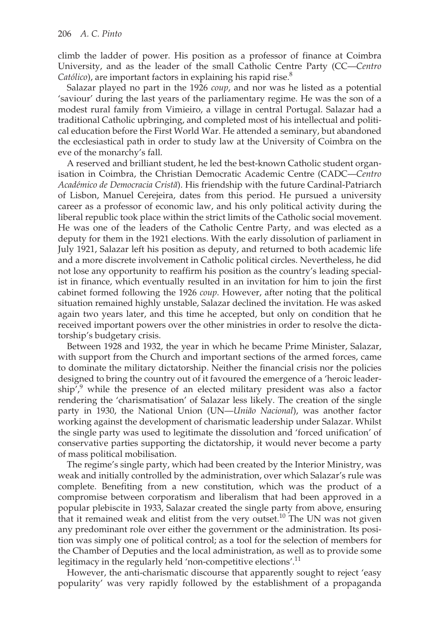climb the ladder of power. His position as a professor of finance at Coimbra University, and as the leader of the small Catholic Centre Party (CC—*Centro Católico*), are important factors in explaining his rapid rise.<sup>8</sup>

Salazar played no part in the 1926 *coup*, and nor was he listed as a potential 'saviour' during the last years of the parliamentary regime. He was the son of a modest rural family from Vimieiro, a village in central Portugal. Salazar had a traditional Catholic upbringing, and completed most of his intellectual and political education before the First World War. He attended a seminary, but abandoned the ecclesiastical path in order to study law at the University of Coimbra on the eve of the monarchy's fall.

A reserved and brilliant student, he led the best-known Catholic student organisation in Coimbra, the Christian Democratic Academic Centre (CADC—*Centro Académico de Democracia Cristã*). His friendship with the future Cardinal-Patriarch of Lisbon, Manuel Cerejeira, dates from this period. He pursued a university career as a professor of economic law, and his only political activity during the liberal republic took place within the strict limits of the Catholic social movement. He was one of the leaders of the Catholic Centre Party, and was elected as a deputy for them in the 1921 elections. With the early dissolution of parliament in July 1921, Salazar left his position as deputy, and returned to both academic life and a more discrete involvement in Catholic political circles. Nevertheless, he did not lose any opportunity to reaffirm his position as the country's leading specialist in finance, which eventually resulted in an invitation for him to join the first cabinet formed following the 1926 *coup*. However, after noting that the political situation remained highly unstable, Salazar declined the invitation. He was asked again two years later, and this time he accepted, but only on condition that he received important powers over the other ministries in order to resolve the dictatorship's budgetary crisis.

Between 1928 and 1932, the year in which he became Prime Minister, Salazar, with support from the Church and important sections of the armed forces, came to dominate the military dictatorship. Neither the financial crisis nor the policies designed to bring the country out of it favoured the emergence of a 'heroic leader- $\text{ship'}$ <sup>9</sup>, while the presence of an elected military president was also a factor rendering the 'charismatisation' of Salazar less likely. The creation of the single party in 1930, the National Union (UN—*União Nacional*), was another factor working against the development of charismatic leadership under Salazar. Whilst the single party was used to legitimate the dissolution and 'forced unification' of conservative parties supporting the dictatorship, it would never become a party of mass political mobilisation.

The regime's single party, which had been created by the Interior Ministry, was weak and initially controlled by the administration, over which Salazar's rule was complete. Benefiting from a new constitution, which was the product of a compromise between corporatism and liberalism that had been approved in a popular plebiscite in 1933, Salazar created the single party from above, ensuring that it remained weak and elitist from the very outset.<sup>10</sup> The UN was not given any predominant role over either the government or the administration. Its position was simply one of political control; as a tool for the selection of members for the Chamber of Deputies and the local administration, as well as to provide some legitimacy in the regularly held 'non-competitive elections'.<sup>11</sup>

However, the anti-charismatic discourse that apparently sought to reject 'easy popularity' was very rapidly followed by the establishment of a propaganda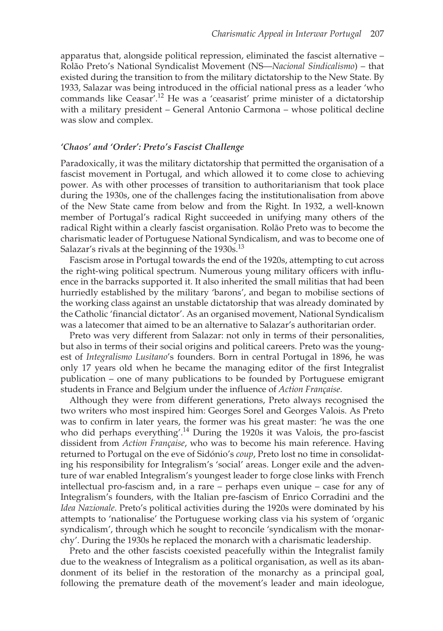apparatus that, alongside political repression, eliminated the fascist alternative – Rolão Preto's National Syndicalist Movement (NS—*Nacional Sindicalismo*) – that existed during the transition to from the military dictatorship to the New State. By 1933, Salazar was being introduced in the official national press as a leader 'who commands like Ceasar'.12 He was a 'ceasarist' prime minister of a dictatorship with a military president – General Antonio Carmona – whose political decline was slow and complex.

#### *'Chaos' and 'Order': Preto's Fascist Challenge*

Paradoxically, it was the military dictatorship that permitted the organisation of a fascist movement in Portugal, and which allowed it to come close to achieving power. As with other processes of transition to authoritarianism that took place during the 1930s, one of the challenges facing the institutionalisation from above of the New State came from below and from the Right. In 1932, a well-known member of Portugal's radical Right succeeded in unifying many others of the radical Right within a clearly fascist organisation. Rolão Preto was to become the charismatic leader of Portuguese National Syndicalism, and was to become one of Salazar's rivals at the beginning of the  $1930s$ <sup>13</sup>

Fascism arose in Portugal towards the end of the 1920s, attempting to cut across the right-wing political spectrum. Numerous young military officers with influence in the barracks supported it. It also inherited the small militias that had been hurriedly established by the military 'barons', and began to mobilise sections of the working class against an unstable dictatorship that was already dominated by the Catholic 'financial dictator'. As an organised movement, National Syndicalism was a latecomer that aimed to be an alternative to Salazar's authoritarian order.

Preto was very different from Salazar: not only in terms of their personalities, but also in terms of their social origins and political careers. Preto was the youngest of *Integralismo Lusitano*'s founders. Born in central Portugal in 1896, he was only 17 years old when he became the managing editor of the first Integralist publication – one of many publications to be founded by Portuguese emigrant students in France and Belgium under the influence of *Action Française*.

Although they were from different generations, Preto always recognised the two writers who most inspired him: Georges Sorel and Georges Valois. As Preto was to confirm in later years, the former was his great master: 'he was the one who did perhaps everything'.<sup>14</sup> During the 1920s it was Valois, the pro-fascist dissident from *Action Française*, who was to become his main reference. Having returned to Portugal on the eve of Sidónio's *coup*, Preto lost no time in consolidating his responsibility for Integralism's 'social' areas. Longer exile and the adventure of war enabled Integralism's youngest leader to forge close links with French intellectual pro-fascism and, in a rare – perhaps even unique – case for any of Integralism's founders, with the Italian pre-fascism of Enrico Corradini and the *Idea Nazionale*. Preto's political activities during the 1920s were dominated by his attempts to 'nationalise' the Portuguese working class via his system of 'organic syndicalism', through which he sought to reconcile 'syndicalism with the monarchy'. During the 1930s he replaced the monarch with a charismatic leadership.

Preto and the other fascists coexisted peacefully within the Integralist family due to the weakness of Integralism as a political organisation, as well as its abandonment of its belief in the restoration of the monarchy as a principal goal, following the premature death of the movement's leader and main ideologue,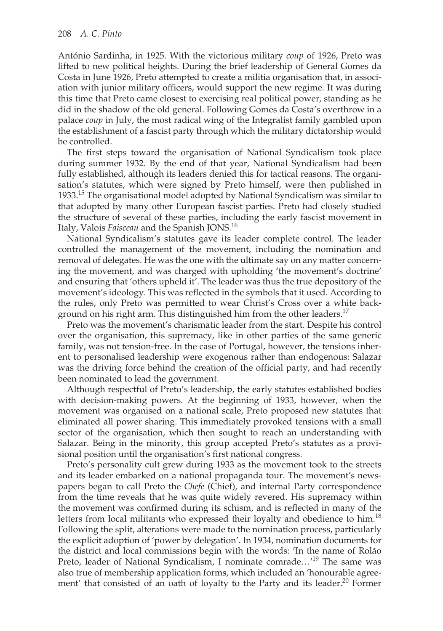António Sardinha, in 1925. With the victorious military *coup* of 1926, Preto was lifted to new political heights. During the brief leadership of General Gomes da Costa in June 1926, Preto attempted to create a militia organisation that, in association with junior military officers, would support the new regime. It was during this time that Preto came closest to exercising real political power, standing as he did in the shadow of the old general. Following Gomes da Costa's overthrow in a palace *coup* in July, the most radical wing of the Integralist family gambled upon the establishment of a fascist party through which the military dictatorship would be controlled.

The first steps toward the organisation of National Syndicalism took place during summer 1932. By the end of that year, National Syndicalism had been fully established, although its leaders denied this for tactical reasons. The organisation's statutes, which were signed by Preto himself, were then published in 1933.15 The organisational model adopted by National Syndicalism was similar to that adopted by many other European fascist parties. Preto had closely studied the structure of several of these parties, including the early fascist movement in Italy, Valois *Faisceau* and the Spanish JONS.16

National Syndicalism's statutes gave its leader complete control. The leader controlled the management of the movement, including the nomination and removal of delegates. He was the one with the ultimate say on any matter concerning the movement, and was charged with upholding 'the movement's doctrine' and ensuring that 'others upheld it'. The leader was thus the true depository of the movement's ideology. This was reflected in the symbols that it used. According to the rules, only Preto was permitted to wear Christ's Cross over a white background on his right arm. This distinguished him from the other leaders.<sup>17</sup>

Preto was the movement's charismatic leader from the start. Despite his control over the organisation, this supremacy, like in other parties of the same generic family, was not tension-free. In the case of Portugal, however, the tensions inherent to personalised leadership were exogenous rather than endogenous: Salazar was the driving force behind the creation of the official party, and had recently been nominated to lead the government.

Although respectful of Preto's leadership, the early statutes established bodies with decision-making powers. At the beginning of 1933, however, when the movement was organised on a national scale, Preto proposed new statutes that eliminated all power sharing. This immediately provoked tensions with a small sector of the organisation, which then sought to reach an understanding with Salazar. Being in the minority, this group accepted Preto's statutes as a provisional position until the organisation's first national congress.

Preto's personality cult grew during 1933 as the movement took to the streets and its leader embarked on a national propaganda tour. The movement's newspapers began to call Preto the *Chefe* (Chief), and internal Party correspondence from the time reveals that he was quite widely revered. His supremacy within the movement was confirmed during its schism, and is reflected in many of the letters from local militants who expressed their loyalty and obedience to him.<sup>18</sup> Following the split, alterations were made to the nomination process, particularly the explicit adoption of 'power by delegation'. In 1934, nomination documents for the district and local commissions begin with the words: 'In the name of Rolão Preto, leader of National Syndicalism, I nominate comrade...<sup>'19</sup> The same was also true of membership application forms, which included an 'honourable agreement' that consisted of an oath of loyalty to the Party and its leader.<sup>20</sup> Former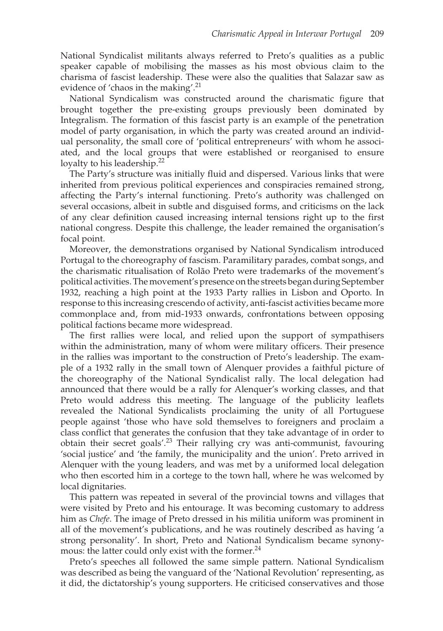National Syndicalist militants always referred to Preto's qualities as a public speaker capable of mobilising the masses as his most obvious claim to the charisma of fascist leadership. These were also the qualities that Salazar saw as evidence of 'chaos in the making'.<sup>21</sup>

National Syndicalism was constructed around the charismatic figure that brought together the pre-existing groups previously been dominated by Integralism. The formation of this fascist party is an example of the penetration model of party organisation, in which the party was created around an individual personality, the small core of 'political entrepreneurs' with whom he associated, and the local groups that were established or reorganised to ensure loyalty to his leadership.<sup>22</sup>

The Party's structure was initially fluid and dispersed. Various links that were inherited from previous political experiences and conspiracies remained strong, affecting the Party's internal functioning. Preto's authority was challenged on several occasions, albeit in subtle and disguised forms, and criticisms on the lack of any clear definition caused increasing internal tensions right up to the first national congress. Despite this challenge, the leader remained the organisation's focal point.

Moreover, the demonstrations organised by National Syndicalism introduced Portugal to the choreography of fascism. Paramilitary parades, combat songs, and the charismatic ritualisation of Rolão Preto were trademarks of the movement's political activities. The movement's presence on the streets began during September 1932, reaching a high point at the 1933 Party rallies in Lisbon and Oporto. In response to this increasing crescendo of activity, anti-fascist activities became more commonplace and, from mid-1933 onwards, confrontations between opposing political factions became more widespread.

The first rallies were local, and relied upon the support of sympathisers within the administration, many of whom were military officers. Their presence in the rallies was important to the construction of Preto's leadership. The example of a 1932 rally in the small town of Alenquer provides a faithful picture of the choreography of the National Syndicalist rally. The local delegation had announced that there would be a rally for Alenquer's working classes, and that Preto would address this meeting. The language of the publicity leaflets revealed the National Syndicalists proclaiming the unity of all Portuguese people against 'those who have sold themselves to foreigners and proclaim a class conflict that generates the confusion that they take advantage of in order to obtain their secret goals'.23 Their rallying cry was anti-communist, favouring 'social justice' and 'the family, the municipality and the union'. Preto arrived in Alenquer with the young leaders, and was met by a uniformed local delegation who then escorted him in a cortege to the town hall, where he was welcomed by local dignitaries.

This pattern was repeated in several of the provincial towns and villages that were visited by Preto and his entourage. It was becoming customary to address him as *Chefe*. The image of Preto dressed in his militia uniform was prominent in all of the movement's publications, and he was routinely described as having 'a strong personality'. In short, Preto and National Syndicalism became synonymous: the latter could only exist with the former.<sup>24</sup>

Preto's speeches all followed the same simple pattern. National Syndicalism was described as being the vanguard of the 'National Revolution' representing, as it did, the dictatorship's young supporters. He criticised conservatives and those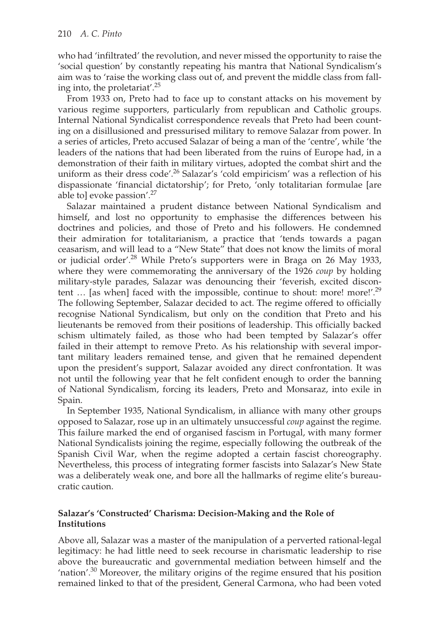who had 'infiltrated' the revolution, and never missed the opportunity to raise the 'social question' by constantly repeating his mantra that National Syndicalism's aim was to 'raise the working class out of, and prevent the middle class from falling into, the proletariat'.25

From 1933 on, Preto had to face up to constant attacks on his movement by various regime supporters, particularly from republican and Catholic groups. Internal National Syndicalist correspondence reveals that Preto had been counting on a disillusioned and pressurised military to remove Salazar from power. In a series of articles, Preto accused Salazar of being a man of the 'centre', while 'the leaders of the nations that had been liberated from the ruins of Europe had, in a demonstration of their faith in military virtues, adopted the combat shirt and the uniform as their dress code'.<sup>26</sup> Salazar's 'cold empiricism' was a reflection of his dispassionate 'financial dictatorship'; for Preto, 'only totalitarian formulae [are able to] evoke passion'.27

Salazar maintained a prudent distance between National Syndicalism and himself, and lost no opportunity to emphasise the differences between his doctrines and policies, and those of Preto and his followers. He condemned their admiration for totalitarianism, a practice that 'tends towards a pagan ceasarism, and will lead to a "New State" that does not know the limits of moral or judicial order'.<sup>28</sup> While Preto's supporters were in Braga on 26 May 1933, where they were commemorating the anniversary of the 1926 *coup* by holding military-style parades, Salazar was denouncing their 'feverish, excited discontent ... [as when] faced with the impossible, continue to shout: more! more!'.<sup>29</sup> The following September, Salazar decided to act. The regime offered to officially recognise National Syndicalism, but only on the condition that Preto and his lieutenants be removed from their positions of leadership. This officially backed schism ultimately failed, as those who had been tempted by Salazar's offer failed in their attempt to remove Preto. As his relationship with several important military leaders remained tense, and given that he remained dependent upon the president's support, Salazar avoided any direct confrontation. It was not until the following year that he felt confident enough to order the banning of National Syndicalism, forcing its leaders, Preto and Monsaraz, into exile in Spain.

In September 1935, National Syndicalism, in alliance with many other groups opposed to Salazar, rose up in an ultimately unsuccessful *coup* against the regime. This failure marked the end of organised fascism in Portugal, with many former National Syndicalists joining the regime, especially following the outbreak of the Spanish Civil War, when the regime adopted a certain fascist choreography. Nevertheless, this process of integrating former fascists into Salazar's New State was a deliberately weak one, and bore all the hallmarks of regime elite's bureaucratic caution.

### **Salazar's 'Constructed' Charisma: Decision-Making and the Role of Institutions**

Above all, Salazar was a master of the manipulation of a perverted rational-legal legitimacy: he had little need to seek recourse in charismatic leadership to rise above the bureaucratic and governmental mediation between himself and the 'nation'. $30$  Moreover, the military origins of the regime ensured that his position remained linked to that of the president, General Carmona, who had been voted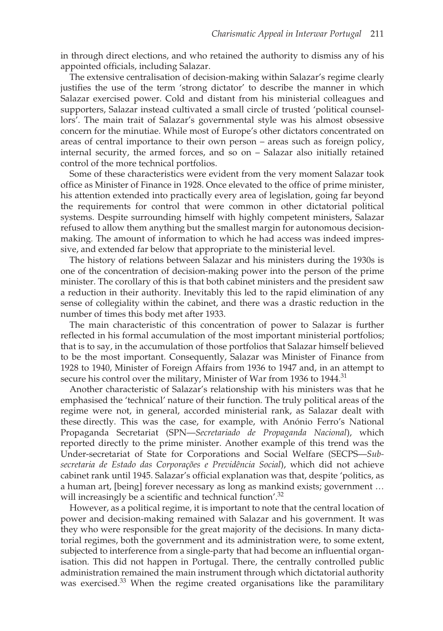in through direct elections, and who retained the authority to dismiss any of his appointed officials, including Salazar.

The extensive centralisation of decision-making within Salazar's regime clearly justifies the use of the term 'strong dictator' to describe the manner in which Salazar exercised power. Cold and distant from his ministerial colleagues and supporters, Salazar instead cultivated a small circle of trusted 'political counsellors'. The main trait of Salazar's governmental style was his almost obsessive concern for the minutiae. While most of Europe's other dictators concentrated on areas of central importance to their own person – areas such as foreign policy, internal security, the armed forces, and so on – Salazar also initially retained control of the more technical portfolios.

Some of these characteristics were evident from the very moment Salazar took office as Minister of Finance in 1928. Once elevated to the office of prime minister, his attention extended into practically every area of legislation, going far beyond the requirements for control that were common in other dictatorial political systems. Despite surrounding himself with highly competent ministers, Salazar refused to allow them anything but the smallest margin for autonomous decisionmaking. The amount of information to which he had access was indeed impressive, and extended far below that appropriate to the ministerial level.

The history of relations between Salazar and his ministers during the 1930s is one of the concentration of decision-making power into the person of the prime minister. The corollary of this is that both cabinet ministers and the president saw a reduction in their authority. Inevitably this led to the rapid elimination of any sense of collegiality within the cabinet, and there was a drastic reduction in the number of times this body met after 1933.

The main characteristic of this concentration of power to Salazar is further reflected in his formal accumulation of the most important ministerial portfolios; that is to say, in the accumulation of those portfolios that Salazar himself believed to be the most important. Consequently, Salazar was Minister of Finance from 1928 to 1940, Minister of Foreign Affairs from 1936 to 1947 and, in an attempt to secure his control over the military, Minister of War from 1936 to 1944.<sup>31</sup>

Another characteristic of Salazar's relationship with his ministers was that he emphasised the 'technical' nature of their function. The truly political areas of the regime were not, in general, accorded ministerial rank, as Salazar dealt with these directly. This was the case, for example, with Anónio Ferro's National Propaganda Secretariat (SPN—*Secretariado de Propaganda Nacional*), which reported directly to the prime minister. Another example of this trend was the Under-secretariat of State for Corporations and Social Welfare (SECPS—*Subsecretaria de Estado das Corporações e Previdência Social*), which did not achieve cabinet rank until 1945. Salazar's official explanation was that, despite 'politics, as a human art, [being] forever necessary as long as mankind exists; government … will increasingly be a scientific and technical function'.<sup>32</sup>

However, as a political regime, it is important to note that the central location of power and decision-making remained with Salazar and his government. It was they who were responsible for the great majority of the decisions. In many dictatorial regimes, both the government and its administration were, to some extent, subjected to interference from a single-party that had become an influential organisation. This did not happen in Portugal. There, the centrally controlled public administration remained the main instrument through which dictatorial authority was exercised.<sup>33</sup> When the regime created organisations like the paramilitary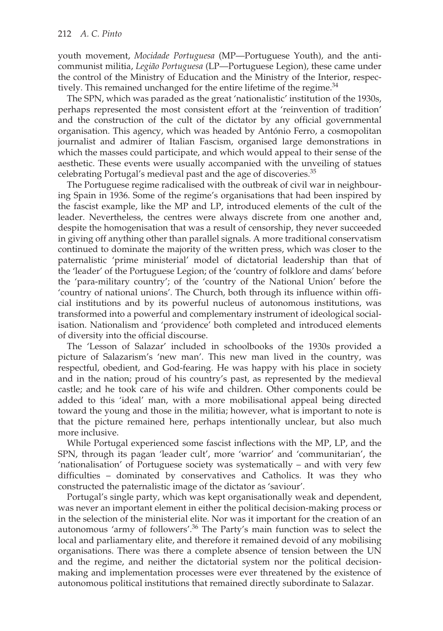youth movement, *Mocidade Portuguesa* (MP—Portuguese Youth), and the anticommunist militia, *Legião Portuguesa* (LP—Portuguese Legion), these came under the control of the Ministry of Education and the Ministry of the Interior, respectively. This remained unchanged for the entire lifetime of the regime. $34$ 

The SPN, which was paraded as the great 'nationalistic' institution of the 1930s, perhaps represented the most consistent effort at the 'reinvention of tradition' and the construction of the cult of the dictator by any official governmental organisation. This agency, which was headed by António Ferro, a cosmopolitan journalist and admirer of Italian Fascism, organised large demonstrations in which the masses could participate, and which would appeal to their sense of the aesthetic. These events were usually accompanied with the unveiling of statues celebrating Portugal's medieval past and the age of discoveries.<sup>35</sup>

The Portuguese regime radicalised with the outbreak of civil war in neighbouring Spain in 1936. Some of the regime's organisations that had been inspired by the fascist example, like the MP and LP, introduced elements of the cult of the leader. Nevertheless, the centres were always discrete from one another and, despite the homogenisation that was a result of censorship, they never succeeded in giving off anything other than parallel signals. A more traditional conservatism continued to dominate the majority of the written press, which was closer to the paternalistic 'prime ministerial' model of dictatorial leadership than that of the 'leader' of the Portuguese Legion; of the 'country of folklore and dams' before the 'para-military country'; of the 'country of the National Union' before the 'country of national unions'. The Church, both through its influence within official institutions and by its powerful nucleus of autonomous institutions, was transformed into a powerful and complementary instrument of ideological socialisation. Nationalism and 'providence' both completed and introduced elements of diversity into the official discourse.

The 'Lesson of Salazar' included in schoolbooks of the 1930s provided a picture of Salazarism's 'new man'. This new man lived in the country, was respectful, obedient, and God-fearing. He was happy with his place in society and in the nation; proud of his country's past, as represented by the medieval castle; and he took care of his wife and children. Other components could be added to this 'ideal' man, with a more mobilisational appeal being directed toward the young and those in the militia; however, what is important to note is that the picture remained here, perhaps intentionally unclear, but also much more inclusive.

While Portugal experienced some fascist inflections with the MP, LP, and the SPN, through its pagan 'leader cult', more 'warrior' and 'communitarian', the 'nationalisation' of Portuguese society was systematically – and with very few difficulties – dominated by conservatives and Catholics. It was they who constructed the paternalistic image of the dictator as 'saviour'.

Portugal's single party, which was kept organisationally weak and dependent, was never an important element in either the political decision-making process or in the selection of the ministerial elite. Nor was it important for the creation of an autonomous 'army of followers'.36 The Party's main function was to select the local and parliamentary elite, and therefore it remained devoid of any mobilising organisations. There was there a complete absence of tension between the UN and the regime, and neither the dictatorial system nor the political decisionmaking and implementation processes were ever threatened by the existence of autonomous political institutions that remained directly subordinate to Salazar.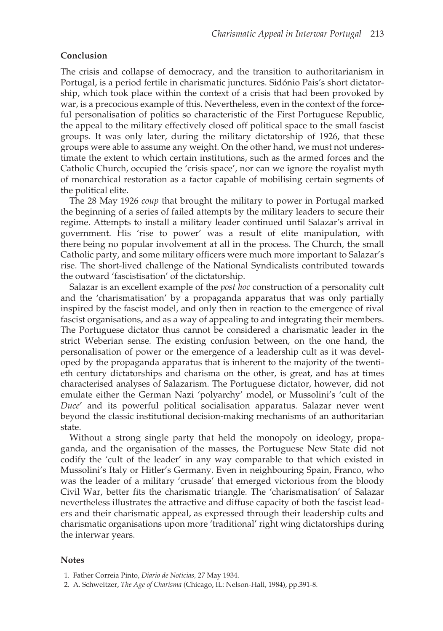#### **Conclusion**

The crisis and collapse of democracy, and the transition to authoritarianism in Portugal, is a period fertile in charismatic junctures. Sidónio Pais's short dictatorship, which took place within the context of a crisis that had been provoked by war, is a precocious example of this. Nevertheless, even in the context of the forceful personalisation of politics so characteristic of the First Portuguese Republic, the appeal to the military effectively closed off political space to the small fascist groups. It was only later, during the military dictatorship of 1926, that these groups were able to assume any weight. On the other hand, we must not underestimate the extent to which certain institutions, such as the armed forces and the Catholic Church, occupied the 'crisis space', nor can we ignore the royalist myth of monarchical restoration as a factor capable of mobilising certain segments of the political elite.

The 28 May 1926 *coup* that brought the military to power in Portugal marked the beginning of a series of failed attempts by the military leaders to secure their regime. Attempts to install a military leader continued until Salazar's arrival in government. His 'rise to power' was a result of elite manipulation, with there being no popular involvement at all in the process. The Church, the small Catholic party, and some military officers were much more important to Salazar's rise. The short-lived challenge of the National Syndicalists contributed towards the outward 'fascistisation' of the dictatorship.

Salazar is an excellent example of the *post hoc* construction of a personality cult and the 'charismatisation' by a propaganda apparatus that was only partially inspired by the fascist model, and only then in reaction to the emergence of rival fascist organisations, and as a way of appealing to and integrating their members. The Portuguese dictator thus cannot be considered a charismatic leader in the strict Weberian sense. The existing confusion between, on the one hand, the personalisation of power or the emergence of a leadership cult as it was developed by the propaganda apparatus that is inherent to the majority of the twentieth century dictatorships and charisma on the other, is great, and has at times characterised analyses of Salazarism. The Portuguese dictator, however, did not emulate either the German Nazi 'polyarchy' model, or Mussolini's 'cult of the *Duce*' and its powerful political socialisation apparatus. Salazar never went beyond the classic institutional decision-making mechanisms of an authoritarian state.

Without a strong single party that held the monopoly on ideology, propaganda, and the organisation of the masses, the Portuguese New State did not codify the 'cult of the leader' in any way comparable to that which existed in Mussolini's Italy or Hitler's Germany. Even in neighbouring Spain, Franco, who was the leader of a military 'crusade' that emerged victorious from the bloody Civil War, better fits the charismatic triangle. The 'charismatisation' of Salazar nevertheless illustrates the attractive and diffuse capacity of both the fascist leaders and their charismatic appeal, as expressed through their leadership cults and charismatic organisations upon more 'traditional' right wing dictatorships during the interwar years.

#### **Notes**

<sup>1.</sup> Father Correia Pinto, *Diario de Noticias,* 27 May 1934.

<sup>2.</sup> A. Schweitzer, *The Age of Charisma* (Chicago, IL: Nelson-Hall, 1984), pp.391-8.